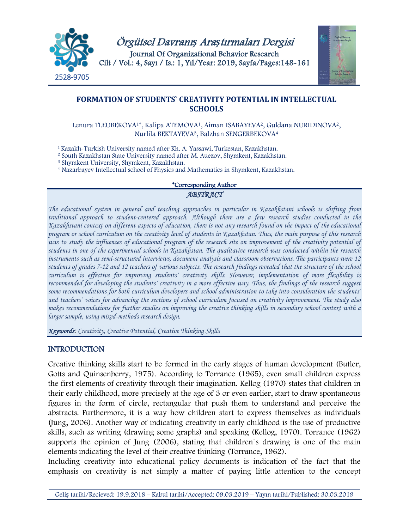



# **FORMATION OF STUDENTS` CREATIVITY POTENTIAL IN INTELLECTUAL SCHOOLS**

Lenura TLEUBEKOVA<sup>1\*</sup>, Kalipa ATEMOVA<sup>1</sup>, Aiman ISABAYEVA<sup>2</sup>, Guldana NURIDINOVA<sup>2</sup>, Nurlila BEKTAYEVA3, Balzhan SENGERBEKOVA4

1 Kazakh-Turkish University named after Kh. A. Yassawi, Turkestan, Kazakhstan.

<sup>2</sup> South Kazakhstan State University named after M. Auezov, Shymkent, Kazakhstan.

<sup>3</sup> Shymkent University, Shymkent, Kazakhstan.

<sup>4</sup> Nazarbayev Intellectual school of Physics and Mathematics in Shymkent, Kazakhstan.

# \*Corresponding Author

#### *ABSTRACT*

*The educational system in general and teaching approaches in particular in Kazakhstani schools is shifting from traditional approach to student-centered approach. Although there are a few research studies conducted in the Kazakhstani context on different aspects of education, there is not any research found on the impact of the educational program or school curriculum on the creativity level of students in Kazakhstan. Thus, the main purpose of this research was to study the influences of educational program of the research site on improvement of the creativity potential of students in one of the experimental schools in Kazakhstan. The qualitative research was conducted within the research instruments such as semi-structured interviews, document analysis and classroom observations. The participants were 12 students of grades 7-12 and 12 teachers of various subjects. The research findings revealed that the structure of the school curriculum is effective for improving students` creativity skills. However, implementation of more flexibility is recommended for developing the students*' *creativity in a more effective way. Thus, the findings of the research suggest some recommendations for both curriculum developers and school administration to take into consideration the students` and teachers` voices for advancing the sections of school curriculum focused on creativity improvement. The study also makes recommendations for further studies on improving the creative thinking skills in secondary school context with a larger sample, using mixed-methods research design.* 

*Keywords*: *Creativity, Creative Potential, Creative Thinking Skills*

# INTRODUCTION

Creative thinking skills start to be formed in the early stages of human development (Butler, Gotts and Quinsenberry, 1975). According to Torrance (1965), even small children express the first elements of creativity through their imagination. Kellog (1970) states that children in their early childhood, more precisely at the age of 3 or even earlier, start to draw spontaneous figures in the form of circle, rectangular that push them to understand and perceive the abstracts. Furthermore, it is a way how children start to express themselves as individuals (Jung, 2006). Another way of indicating creativity in early childhood is the use of productive skills, such as writing (drawing some graphs) and speaking (Kellog, 1970). Torrance (1962) supports the opinion of Jung (2006), stating that children's drawing is one of the main elements indicating the level of their creative thinking (Torrance, 1962).

Including creativity into educational policy documents is indication of the fact that the emphasis on creativity is not simply a matter of paying little attention to the concept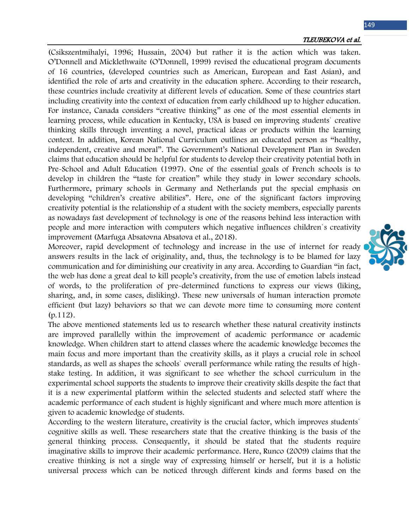#### TLEUBEKOVA et al.

(Csikszentmihalyi, 1996; Hussain, 2004) but rather it is the action which was taken. O'Donnell and Micklethwaite (O'Donnell, 1999) revised the educational program documents of 16 countries, (developed countries such as American, European and East Asian), and identified the role of arts and creativity in the education sphere. According to their research, these countries include creativity at different levels of education. Some of these countries start including creativity into the context of education from early childhood up to higher education. For instance, Canada considers "creative thinking" as one of the most essential elements in learning process, while education in Kentucky, USA is based on improving students` creative thinking skills through inventing a novel, practical ideas or products within the learning context. In addition, Korean National Curriculum outlines an educated person as "healthy, independent, creative and moral". The Government's National Development Plan in Sweden claims that education should be helpful for students to develop their creativity potential both in Pre-School and Adult Education (1997). One of the essential goals of French schools is to develop in children the "taste for creation" while they study in lower secondary schools. Furthermore, primary schools in Germany and Netherlands put the special emphasis on developing "children's creative abilities". Here, one of the significant factors improving creativity potential is the relationship of a student with the society members, especially parents as nowadays fast development of technology is one of the reasons behind less interaction with people and more interaction with computers which negative influences children`s creativity improvement (Marfuga Absatovna Absatova et al., 2018).

Moreover, rapid development of technology and increase in the use of internet for ready answers results in the lack of originality, and, thus, the technology is to be blamed for lazy communication and for diminishing our creativity in any area. According to Guardian "in fact, the web has done a great deal to kill people's creativity, from the use of emotion labels instead of words, to the proliferation of pre-determined functions to express our views (liking, sharing, and, in some cases, disliking). These new universals of human interaction promote efficient (but lazy) behaviors so that we can devote more time to consuming more content (p.112).

The above mentioned statements led us to research whether these natural creativity instincts are improved parallelly within the improvement of academic performance or academic knowledge. When children start to attend classes where the academic knowledge becomes the main focus and more important than the creativity skills, as it plays a crucial role in school standards, as well as shapes the schools` overall performance while rating the results of highstake testing. In addition, it was significant to see whether the school curriculum in the experimental school supports the students to improve their creativity skills despite the fact that it is a new experimental platform within the selected students and selected staff where the academic performance of each student is highly significant and where much more attention is given to academic knowledge of students.

According to the western literature, creativity is the crucial factor, which improves students` cognitive skills as well. These researchers state that the creative thinking is the basis of the general thinking process. Consequently, it should be stated that the students require imaginative skills to improve their academic performance. Here, Runco (2009) claims that the creative thinking is not a single way of expressing himself or herself, but it is a holistic universal process which can be noticed through different kinds and forms based on the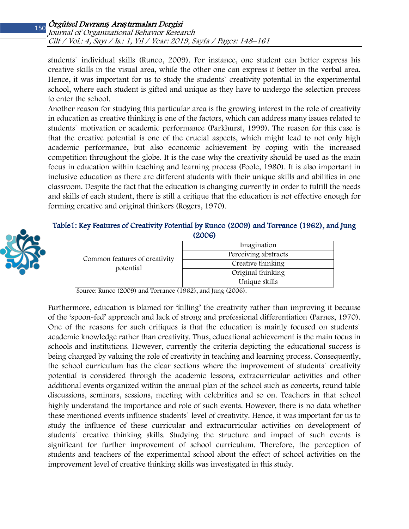students` individual skills (Runco, 2009). For instance, one student can better express his creative skills in the visual area, while the other one can express it better in the verbal area. Hence, it was important for us to study the students` creativity potential in the experimental school, where each student is gifted and unique as they have to undergo the selection process to enter the school.

Another reason for studying this particular area is the growing interest in the role of creativity in education as creative thinking is one of the factors, which can address many issues related to students` motivation or academic performance (Parkhurst, 1999). The reason for this case is that the creative potential is one of the crucial aspects, which might lead to not only high academic performance, but also economic achievement by coping with the increased competition throughout the globe. It is the case why the creativity should be used as the main focus in education within teaching and learning process (Poole, 1980). It is also important in inclusive education as there are different students with their unique skills and abilities in one classroom. Despite the fact that the education is changing currently in order to fulfill the needs and skills of each student, there is still a critique that the education is not effective enough for forming creative and original thinkers (Rogers, 1970).

# Table1: Key Features of Creativity Potential by Runco (2009) and Torrance (1962), and Jung (2006)



| Common features of creativity<br>potential | Imagination          |  |  |  |
|--------------------------------------------|----------------------|--|--|--|
|                                            | Perceiving abstracts |  |  |  |
|                                            | Creative thinking    |  |  |  |
|                                            | Original thinking    |  |  |  |
|                                            | Unique skills        |  |  |  |

Source: Runco (2009) and Torrance (1962), and Jung (2006).

Furthermore, education is blamed for 'killing' the creativity rather than improving it because of the 'spoon-fed' approach and lack of strong and professional differentiation (Parnes, 1970). One of the reasons for such critiques is that the education is mainly focused on students` academic knowledge rather than creativity. Thus, educational achievement is the main focus in schools and institutions. However, currently the criteria depicting the educational success is being changed by valuing the role of creativity in teaching and learning process. Consequently, the school curriculum has the clear sections where the improvement of students` creativity potential is considered through the academic lessons, extracurricular activities and other additional events organized within the annual plan of the school such as concerts, round table discussions, seminars, sessions, meeting with celebrities and so on. Teachers in that school highly understand the importance and role of such events. However, there is no data whether these mentioned events influence students` level of creativity. Hence, it was important for us to study the influence of these curricular and extracurricular activities on development of students` creative thinking skills. Studying the structure and impact of such events is significant for further improvement of school curriculum. Therefore, the perception of students and teachers of the experimental school about the effect of school activities on the improvement level of creative thinking skills was investigated in this study.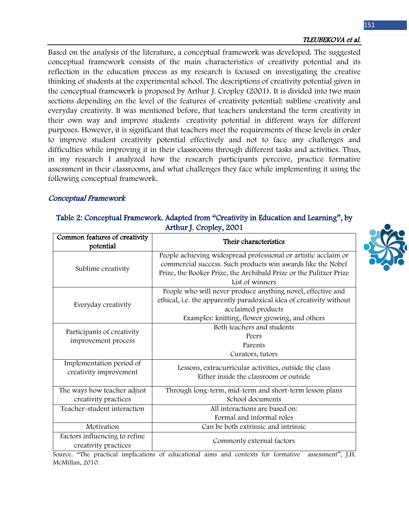Based on the analysis of the literature, a conceptual framework was developed. The suggested conceptual framework consists of the main characteristics of creativity potential and its reflection in the education process as my research is focused on investigating the creative thinking of students at the experimental school. The descriptions of creativity potential given in the conceptual framework is proposed by Arthur J. Cropley (2001). It is divided into two main sections depending on the level of the features of creativity potential: sublime creativity and everyday creativity. It was mentioned before, that teachers understand the term creativity in their own way and improve students` creativity potential in different ways for different purposes. However, it is significant that teachers meet the requirements of these levels in order to improve student creativity potential effectively and not to face any challenges and difficulties while improving it in their classrooms through different tasks and activities. Thus, in my research I analyzed how the research participants perceive, practice formative assessment in their classrooms, and what challenges they face while implementing it using the following conceptual framework.

# Conceptual Framework

# Table 2: Conceptual Framework. Adapted from "Creativity in Education and Learning", by Arthur J. Cropley, 2001

| Common features of creativity<br>potential            | Their characteristics                                                                                                                                                                                                   |  |
|-------------------------------------------------------|-------------------------------------------------------------------------------------------------------------------------------------------------------------------------------------------------------------------------|--|
| Sublime creativity                                    | People achieving widespread professional or artistic acclaim or<br>commercial success. Such products win awards like the Nobel<br>Prize, the Booker Prize, the Archibald Prize or the Pulitzer Prize<br>List of winners |  |
| Everyday creativity                                   | People who will never produce anything novel, effective and<br>ethical, i.e. the apparently paradoxical idea of creativity without<br>acclaimed products<br>Examples: knitting, flower growing, and others              |  |
| Participants of creativity<br>improvement process     | Both teachers and students<br>Peers<br>Parents<br>Curators, tutors                                                                                                                                                      |  |
| Implementation period of<br>creativity improvement    | Lessons, extracurricular activities, outside the class<br>Either inside the classroom or outside                                                                                                                        |  |
| The ways how teacher adjust<br>creativity practices   | Through long-term, mid-term and short-term lesson plans<br>School documents                                                                                                                                             |  |
| Teacher-student interaction                           | All interactions are based on:<br>Formal and informal roles                                                                                                                                                             |  |
| Motivation                                            | Can be both extrinsic and intrinsic                                                                                                                                                                                     |  |
| Factors influencing to refine<br>creativity practices | Commonly external factors                                                                                                                                                                                               |  |

Source. "The practical implications of educational aims and contexts for formative assessment", J.H. McMillan, 2010.

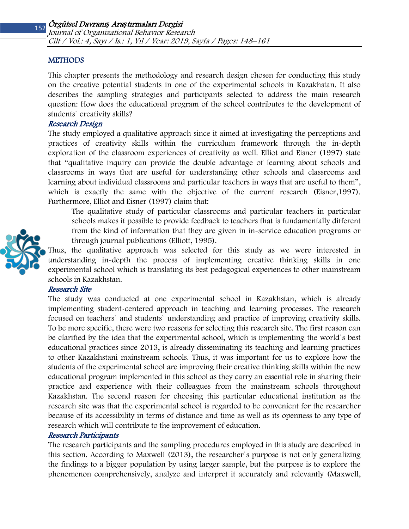#### **METHODS**

This chapter presents the methodology and research design chosen for conducting this study on the creative potential students in one of the experimental schools in Kazakhstan. It also describes the sampling strategies and participants selected to address the main research question: How does the educational program of the school contributes to the development of students` creativity skills?

# Research Design

The study employed a qualitative approach since it aimed at investigating the perceptions and practices of creativity skills within the curriculum framework through the in-depth exploration of the classroom experiences of creativity as well. Elliot and Eisner (1997) state that "qualitative inquiry can provide the double advantage of learning about schools and classrooms in ways that are useful for understanding other schools and classrooms and learning about individual classrooms and particular teachers in ways that are useful to them", which is exactly the same with the objective of the current research (Eisner, 1997). Furthermore, Elliot and Eisner (1997) claim that:

The qualitative study of particular classrooms and particular teachers in particular schools makes it possible to provide feedback to teachers that is fundamentally different from the kind of information that they are given in in-service education programs or through journal publications (Elliott, 1995).



Thus, the qualitative approach was selected for this study as we were interested in understanding in-depth the process of implementing creative thinking skills in one experimental school which is translating its best pedagogical experiences to other mainstream schools in Kazakhstan.

### Research Site

The study was conducted at one experimental school in Kazakhstan, which is already implementing student-centered approach in teaching and learning processes. The research focused on teachers` and students` understanding and practice of improving creativity skills. To be more specific, there were two reasons for selecting this research site. The first reason can be clarified by the idea that the experimental school, which is implementing the world`s best educational practices since 2013, is already disseminating its teaching and learning practices to other Kazakhstani mainstream schools. Thus, it was important for us to explore how the students of the experimental school are improving their creative thinking skills within the new educational program implemented in this school as they carry an essential role in sharing their practice and experience with their colleagues from the mainstream schools throughout Kazakhstan. The second reason for choosing this particular educational institution as the research site was that the experimental school is regarded to be convenient for the researcher because of its accessibility in terms of distance and time as well as its openness to any type of research which will contribute to the improvement of education.

#### Research Participants

The research participants and the sampling procedures employed in this study are described in this section. According to Maxwell (2013), the researcher`s purpose is not only generalizing the findings to a bigger population by using larger sample, but the purpose is to explore the phenomenon comprehensively, analyze and interpret it accurately and relevantly (Maxwell,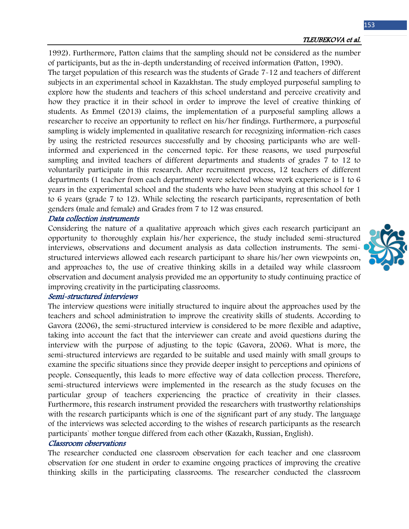1992). Furthermore, Patton claims that the sampling should not be considered as the number of participants, but as the in-depth understanding of received information (Patton, 1990). The target population of this research was the students of Grade 7-12 and teachers of different subjects in an experimental school in Kazakhstan. The study employed purposeful sampling to explore how the students and teachers of this school understand and perceive creativity and how they practice it in their school in order to improve the level of creative thinking of students. As Emmel (2013) claims, the implementation of a purposeful sampling allows a researcher to receive an opportunity to reflect on his/her findings. Furthermore, a purposeful sampling is widely implemented in qualitative research for recognizing information-rich cases by using the restricted resources successfully and by choosing participants who are wellinformed and experienced in the concerned topic. For these reasons, we used purposeful sampling and invited teachers of different departments and students of grades 7 to 12 to voluntarily participate in this research. After recruitment process, 12 teachers of different departments (1 teacher from each department) were selected whose work experience is 1 to 6 years in the experimental school and the students who have been studying at this school for 1 to 6 years (grade 7 to 12). While selecting the research participants, representation of both genders (male and female) and Grades from 7 to 12 was ensured.

#### Data collection instruments

Considering the nature of a qualitative approach which gives each research participant an opportunity to thoroughly explain his/her experience, the study included semi-structured interviews, observations and document analysis as data collection instruments. The semistructured interviews allowed each research participant to share his/her own viewpoints on, and approaches to, the use of creative thinking skills in a detailed way while classroom observation and document analysis provided me an opportunity to study continuing practice of improving creativity in the participating classrooms.

#### Semi-structured interviews

The interview questions were initially structured to inquire about the approaches used by the teachers and school administration to improve the creativity skills of students. According to Gavora (2006), the semi-structured interview is considered to be more flexible and adaptive, taking into account the fact that the interviewer can create and avoid questions during the interview with the purpose of adjusting to the topic (Gavora, 2006). What is more, the semi-structured interviews are regarded to be suitable and used mainly with small groups to examine the specific situations since they provide deeper insight to perceptions and opinions of people. Consequently, this leads to more effective way of data collection process. Therefore, semi-structured interviews were implemented in the research as the study focuses on the particular group of teachers experiencing the practice of creativity in their classes. Furthermore, this research instrument provided the researchers with trustworthy relationships with the research participants which is one of the significant part of any study. The language of the interviews was selected according to the wishes of research participants as the research participants` mother tongue differed from each other (Kazakh, Russian, English).

### Classroom observations

The researcher conducted one classroom observation for each teacher and one classroom observation for one student in order to examine ongoing practices of improving the creative thinking skills in the participating classrooms. The researcher conducted the classroom

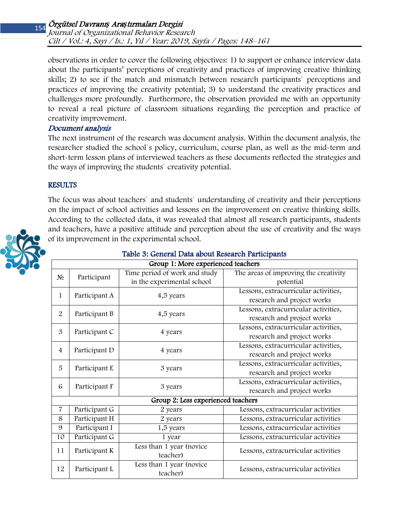observations in order to cover the following objectives: 1) to support or enhance interview data about the participants' perceptions of creativity and practices of improving creative thinking skills; 2) to see if the match and mismatch between research participants` perceptions and practices of improving the creativity potential; 3) to understand the creativity practices and challenges more profoundly. Furthermore, the observation provided me with an opportunity to reveal a real picture of classroom situations regarding the perception and practice of creativity improvement.

# Document analysis

The next instrument of the research was document analysis. Within the document analysis, the researcher studied the school`s policy, curriculum, course plan, as well as the mid-term and short-term lesson plans of interviewed teachers as these documents reflected the strategies and the ways of improving the students` creativity potential.

# **RESULTS**

The focus was about teachers` and students` understanding of creativity and their perceptions on the impact of school activities and lessons on the improvement on creative thinking skills. According to the collected data, it was revealed that almost all research participants, students and teachers, have a positive attitude and perception about the use of creativity and the ways of its improvement in the experimental school.



# Table 3: General Data about Research Participants

| Group 1: More experienced teachers |               |                                      |                                       |  |  |
|------------------------------------|---------------|--------------------------------------|---------------------------------------|--|--|
| $N_2$                              | Participant   | Time period of work and study        | The areas of improving the creativity |  |  |
|                                    |               | in the experimental school           | potential                             |  |  |
| $\mathbf{1}$<br>Participant A      |               | 4,5 years                            | Lessons, extracurricular activities,  |  |  |
|                                    |               |                                      | research and project works            |  |  |
| $\overline{2}$<br>Participant B    |               | 4,5 years                            | Lessons, extracurricular activities,  |  |  |
|                                    |               |                                      | research and project works            |  |  |
| 3<br>Participant C                 |               | 4 years                              | Lessons, extracurricular activities,  |  |  |
|                                    |               | research and project works           |                                       |  |  |
| Participant D<br>$\overline{4}$    | 4 years       | Lessons, extracurricular activities, |                                       |  |  |
|                                    |               |                                      | research and project works            |  |  |
| 5<br>Participant E                 | 3 years       | Lessons, extracurricular activities, |                                       |  |  |
|                                    |               |                                      | research and project works            |  |  |
| 6<br>Participant F                 | 3 years       | Lessons, extracurricular activities, |                                       |  |  |
|                                    |               |                                      | research and project works            |  |  |
| Group 2: Less experienced teachers |               |                                      |                                       |  |  |
| $\overline{7}$                     | Participant G | 2 years                              | Lessons, extracurricular activities   |  |  |
| 8                                  | Participant H | 2 years                              | Lessons, extracurricular activities   |  |  |
| 9                                  | Participant I | 1,5 years                            | Lessons, extracurricular activities   |  |  |
| 10                                 | Participant G | 1 year                               | Lessons, extracurricular activities   |  |  |
| 11                                 | Participant K | Less than 1 year (novice             | Lessons, extracurricular activities   |  |  |
|                                    |               | teacher)                             |                                       |  |  |
| 12                                 | Participant L | Less than 1 year (novice             | Lessons, extracurricular activities   |  |  |
|                                    |               | teacher)                             |                                       |  |  |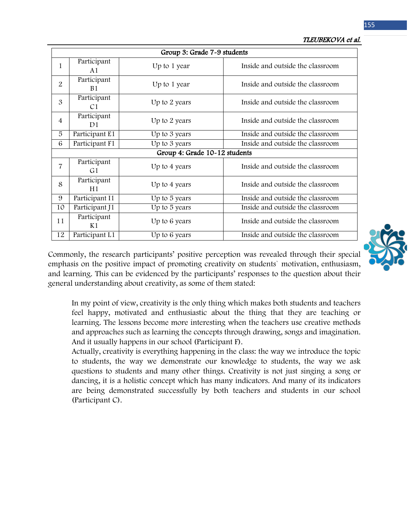155

| Group 3: Grade 7-9 students |                               |               |                                  |  |  |
|-----------------------------|-------------------------------|---------------|----------------------------------|--|--|
| 1                           | Participant<br>A1             | Up to 1 year  | Inside and outside the classroom |  |  |
| 2                           | Participant<br><b>B1</b>      | Up to 1 year  | Inside and outside the classroom |  |  |
| 3                           | Participant<br>C <sub>1</sub> | Up to 2 years | Inside and outside the classroom |  |  |
| $\overline{4}$              | Participant<br>D <sub>1</sub> | Up to 2 years | Inside and outside the classroom |  |  |
| 5                           | Participant E1                | Up to 3 years | Inside and outside the classroom |  |  |
| 6                           | Participant F1                | Up to 3 years | Inside and outside the classroom |  |  |
|                             | Group 4: Grade 10-12 students |               |                                  |  |  |
| $\overline{7}$              | Participant<br>G1             | Up to 4 years | Inside and outside the classroom |  |  |
| 8                           | Participant<br>H1             | Up to 4 years | Inside and outside the classroom |  |  |
| 9                           | Participant I1                | Up to 5 years | Inside and outside the classroom |  |  |
| 10                          | Participant J1                | Up to 5 years | Inside and outside the classroom |  |  |
| 11                          | Participant<br>K1             | Up to 6 years | Inside and outside the classroom |  |  |
| 12                          | Participant L1                | Up to 6 years | Inside and outside the classroom |  |  |



Commonly, the research participants' positive perception was revealed through their special emphasis on the positive impact of promoting creativity on students` motivation, enthusiasm, and learning. This can be evidenced by the participants' responses to the question about their general understanding about creativity, as some of them stated:

In my point of view, creativity is the only thing which makes both students and teachers feel happy, motivated and enthusiastic about the thing that they are teaching or learning. The lessons become more interesting when the teachers use creative methods and approaches such as learning the concepts through drawing, songs and imagination. And it usually happens in our school (Participant F).

Actually, creativity is everything happening in the class: the way we introduce the topic to students, the way we demonstrate our knowledge to students, the way we ask questions to students and many other things. Creativity is not just singing a song or dancing, it is a holistic concept which has many indicators. And many of its indicators are being demonstrated successfully by both teachers and students in our school (Participant C).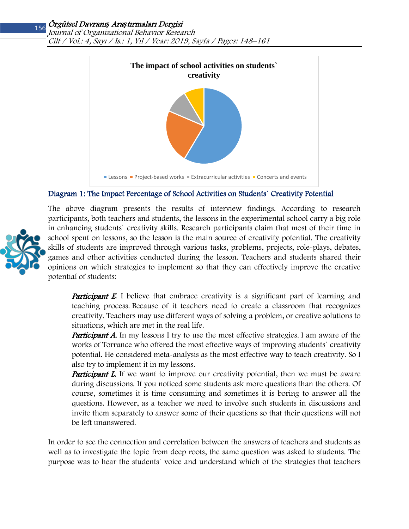# Örgütsel Davranı*ş* Ara*ş*tırmaları Dergisi

Journal of Organizational Behavior Research Cilt / Vol.: 4, Sayı / Is.: 1, Yıl / Year: 2019, Sayfa / Pages: 148–161



# Diagram 1: The Impact Percentage of School Activities on Students` Creativity Potential



The above diagram presents the results of interview findings. According to research participants, both teachers and students, the lessons in the experimental school carry a big role in enhancing students` creativity skills. Research participants claim that most of their time in school spent on lessons, so the lesson is the main source of creativity potential. The creativity skills of students are improved through various tasks, problems, projects, role-plays, debates, games and other activities conducted during the lesson. Teachers and students shared their opinions on which strategies to implement so that they can effectively improve the creative potential of students:

**Participant E.** I believe that embrace creativity is a significant part of learning and teaching process. Because of it teachers need to create a classroom that recognizes creativity. Teachers may use different ways of solving a problem, or creative solutions to situations, which are met in the real life.

**Participant A.** In my lessons I try to use the most effective strategies. I am aware of the works of Torrance who offered the most effective ways of improving students` creativity potential. He considered meta-analysis as the most effective way to teach creativity. So I also try to implement it in my lessons.

**Participant L.** If we want to improve our creativity potential, then we must be aware during discussions. If you noticed some students ask more questions than the others. Of course, sometimes it is time consuming and sometimes it is boring to answer all the questions. However, as a teacher we need to involve such students in discussions and invite them separately to answer some of their questions so that their questions will not be left unanswered.

In order to see the connection and correlation between the answers of teachers and students as well as to investigate the topic from deep roots, the same question was asked to students. The purpose was to hear the students` voice and understand which of the strategies that teachers

156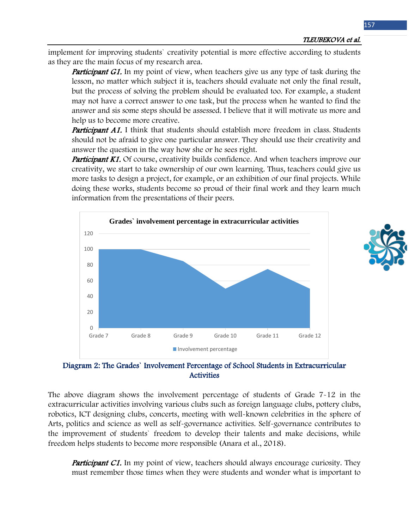implement for improving students` creativity potential is more effective according to students as they are the main focus of my research area.

**Participant G1.** In my point of view, when teachers give us any type of task during the lesson, no matter which subject it is, teachers should evaluate not only the final result, but the process of solving the problem should be evaluated too. For example, a student may not have a correct answer to one task, but the process when he wanted to find the answer and sis some steps should be assessed. I believe that it will motivate us more and help us to become more creative.

**Participant A1.** I think that students should establish more freedom in class. Students should not be afraid to give one particular answer. They should use their creativity and answer the question in the way how she or he sees right.

**Participant K1.** Of course, creativity builds confidence. And when teachers improve our creativity, we start to take ownership of our own learning. Thus, teachers could give us more tasks to design a project, for example, or an exhibition of our final projects. While doing these works, students become so proud of their final work and they learn much information from the presentations of their peers.



Diagram 2: The Grades` Involvement Percentage of School Students in Extracurricular **Activities** 

The above diagram shows the involvement percentage of students of Grade 7-12 in the extracurricular activities involving various clubs such as foreign language clubs, pottery clubs, robotics, ICT designing clubs, concerts, meeting with well-known celebrities in the sphere of Arts, politics and science as well as self-governance activities. Self-governance contributes to the improvement of students` freedom to develop their talents and make decisions, while freedom helps students to become more responsible (Anara et al., 2018).

**Participant C1.** In my point of view, teachers should always encourage curiosity. They must remember those times when they were students and wonder what is important to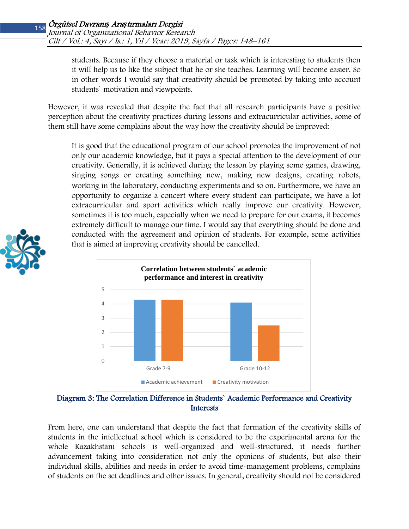students. Because if they choose a material or task which is interesting to students then it will help us to like the subject that he or she teaches. Learning will become easier. So in other words I would say that creativity should be promoted by taking into account students` motivation and viewpoints.

However, it was revealed that despite the fact that all research participants have a positive perception about the creativity practices during lessons and extracurricular activities, some of them still have some complains about the way how the creativity should be improved:

It is good that the educational program of our school promotes the improvement of not only our academic knowledge, but it pays a special attention to the development of our creativity. Generally, it is achieved during the lesson by playing some games, drawing, singing songs or creating something new, making new designs, creating robots, working in the laboratory, conducting experiments and so on. Furthermore, we have an opportunity to organize a concert where every student can participate, we have a lot extracurricular and sport activities which really improve our creativity. However, sometimes it is too much, especially when we need to prepare for our exams, it becomes extremely difficult to manage our time. I would say that everything should be done and conducted with the agreement and opinion of students. For example, some activities that is aimed at improving creativity should be cancelled.





Diagram 3: The Correlation Difference in Students` Academic Performance and Creativity Interests

From here, one can understand that despite the fact that formation of the creativity skills of students in the intellectual school which is considered to be the experimental arena for the whole Kazakhstani schools is well-organized and well-structured, it needs further advancement taking into consideration not only the opinions of students, but also their individual skills, abilities and needs in order to avoid time-management problems, complains of students on the set deadlines and other issues. In general, creativity should not be considered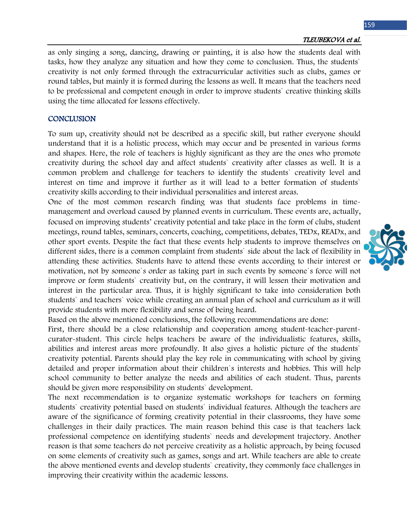#### TLEUBEKOVA et al.

as only singing a song, dancing, drawing or painting, it is also how the students deal with tasks, how they analyze any situation and how they come to conclusion. Thus, the students` creativity is not only formed through the extracurricular activities such as clubs, games or round tables, but mainly it is formed during the lessons as well. It means that the teachers need to be professional and competent enough in order to improve students` creative thinking skills using the time allocated for lessons effectively.

#### **CONCLUSION**

To sum up, creativity should not be described as a specific skill, but rather everyone should understand that it is a holistic process, which may occur and be presented in various forms and shapes. Here, the role of teachers is highly significant as they are the ones who promote creativity during the school day and affect students` creativity after classes as well. It is a common problem and challenge for teachers to identify the students` creativity level and interest on time and improve it further as it will lead to a better formation of students` creativity skills according to their individual personalities and interest areas.

One of the most common research finding was that students face problems in timemanagement and overload caused by planned events in curriculum. These events are, actually, focused on improving students' creativity potential and take place in the form of clubs, student meetings, round tables, seminars, concerts, coaching, competitions, debates, TEDx, READx, and other sport events. Despite the fact that these events help students to improve themselves on different sides, there is a common complaint from students` side about the lack of flexibility in attending these activities. Students have to attend these events according to their interest or motivation, not by someone`s order as taking part in such events by someone`s force will not improve or form students` creativity but, on the contrary, it will lessen their motivation and interest in the particular area. Thus, it is highly significant to take into consideration both students` and teachers` voice while creating an annual plan of school and curriculum as it will provide students with more flexibility and sense of being heard.

Based on the above mentioned conclusions, the following recommendations are done:

First, there should be a close relationship and cooperation among student-teacher-parentcurator-student. This circle helps teachers be aware of the individualistic features, skills, abilities and interest areas more profoundly. It also gives a holistic picture of the students` creativity potential. Parents should play the key role in communicating with school by giving detailed and proper information about their children`s interests and hobbies. This will help school community to better analyze the needs and abilities of each student. Thus, parents should be given more responsibility on students` development.

The next recommendation is to organize systematic workshops for teachers on forming students` creativity potential based on students` individual features. Although the teachers are aware of the significance of forming creativity potential in their classrooms, they have some challenges in their daily practices. The main reason behind this case is that teachers lack professional competence on identifying students` needs and development trajectory. Another reason is that some teachers do not perceive creativity as a holistic approach, by being focused on some elements of creativity such as games, songs and art. While teachers are able to create the above mentioned events and develop students` creativity, they commonly face challenges in improving their creativity within the academic lessons.

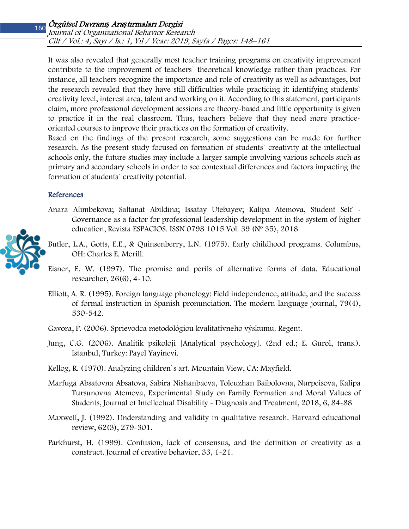It was also revealed that generally most teacher training programs on creativity improvement contribute to the improvement of teachers` theoretical knowledge rather than practices. For instance, all teachers recognize the importance and role of creativity as well as advantages, but the research revealed that they have still difficulties while practicing it: identifying students` creativity level, interest area, talent and working on it. According to this statement, participants claim, more professional development sessions are theory-based and little opportunity is given to practice it in the real classroom. Thus, teachers believe that they need more practiceoriented courses to improve their practices on the formation of creativity.

Based on the findings of the present research, some suggestions can be made for further research. As the present study focused on formation of students` creativity at the intellectual schools only, the future studies may include a larger sample involving various schools such as primary and secondary schools in order to see contextual differences and factors impacting the formation of students` creativity potential.

#### References

- Anara Alimbekova; Saltanat Abildina; Issatay Utebayev; Kalipa Atemova, Student Self Governance as a factor for professional leadership development in the system of higher education, Revista ESPACIOS. ISSN 0798 1015 Vol. 39 (Nº 35), 2018
- Butler, L.A., Gotts, E.E., & Quinsenberry, L.N. (1975). Early childhood programs. Columbus, OH: Charles E. Merill.
- Eisner, E. W. (1997). The promise and perils of alternative forms of data. Educational researcher, 26(6), 4-10.
- Elliott, A. R. (1995). Foreign language phonology: Field independence, attitude, and the success of formal instruction in Spanish pronunciation. The modern language journal, 79(4), 530-542.
- Gavora, P. (2006). Sprievodca metodológiou kvalitatívneho výskumu. Regent.
- Jung, C.G. (2006). Analitik psikoloji [Analytical psychology]. (2nd ed.; E. Gurol, trans.). Istanbul, Turkey: Payel Yayinevi.
- Kellog, R. (1970). Analyzing children`s art. Mountain View, CA: Mayfield.
- Marfuga Absatovna Absatova, Sabira Nishanbaeva, Toleuzhan Baibolovna, Nurpeisova, Kalipa Tursunovna Atemova, Experimental Study on Family Formation and Moral Values of Students, Journal of Intellectual Disability - Diagnosis and Treatment, 2018, 6, 84-88
- Maxwell, J. (1992). Understanding and validity in qualitative research. Harvard educational review, 62(3), 279-301.
- Parkhurst, H. (1999). Confusion, lack of consensus, and the definition of creativity as a construct. Journal of creative behavior, 33, 1-21.